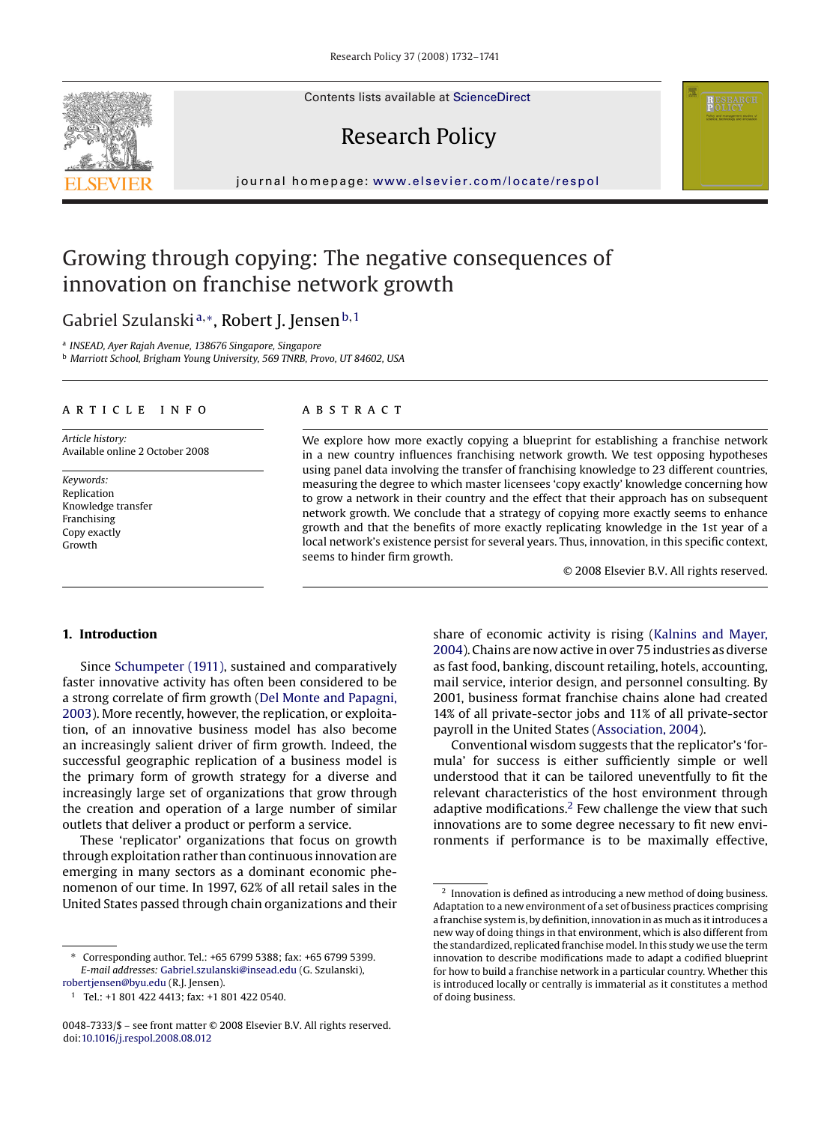Contents lists available at [ScienceDirect](http://www.sciencedirect.com/science/journal/00487333)

# Research Policy

journal homepage: [www.elsevier.com/locate/respol](http://www.elsevier.com/locate/respol)

## Growing through copying: The negative consequences of innovation on franchise network growth

### Gabriel Szulanski<sup>a,∗</sup>, Robert J. Jensen<sup>b,1</sup>

<sup>a</sup> *INSEAD, Ayer Rajah Avenue, 138676 Singapore, Singapore*

<sup>b</sup> *Marriott School, Brigham Young University, 569 TNRB, Provo, UT 84602, USA*

#### article info

*Article history:* Available online 2 October 2008

*Keywords:* Replication Knowledge transfer Franchising Copy exactly Growth

#### **ABSTRACT**

We explore how more exactly copying a blueprint for establishing a franchise network in a new country influences franchising network growth. We test opposing hypotheses using panel data involving the transfer of franchising knowledge to 23 different countries, measuring the degree to which master licensees 'copy exactly' knowledge concerning how to grow a network in their country and the effect that their approach has on subsequent network growth. We conclude that a strategy of copying more exactly seems to enhance growth and that the benefits of more exactly replicating knowledge in the 1st year of a local network's existence persist for several years. Thus, innovation, in this specific context, seems to hinder firm growth.

© 2008 Elsevier B.V. All rights reserved.

#### **1. Introduction**

Since [Schumpeter \(1911\), s](#page--1-0)ustained and comparatively faster innovative activity has often been considered to be a strong correlate of firm growth ([Del Monte and Papagni,](#page--1-0) [2003\).](#page--1-0) More recently, however, the replication, or exploitation, of an innovative business model has also become an increasingly salient driver of firm growth. Indeed, the successful geographic replication of a business model is the primary form of growth strategy for a diverse and increasingly large set of organizations that grow through the creation and operation of a large number of similar outlets that deliver a product or perform a service.

These 'replicator' organizations that focus on growth through exploitation rather than continuous innovation are emerging in many sectors as a dominant economic phenomenon of our time. In 1997, 62% of all retail sales in the United States passed through chain organizations and their

<sup>1</sup> Tel.: +1 801 422 4413; fax: +1 801 422 0540.

share of economic activity is rising [\(Kalnins and Mayer,](#page--1-0) [2004\).](#page--1-0) Chains are now active in over 75 industries as diverse as fast food, banking, discount retailing, hotels, accounting, mail service, interior design, and personnel consulting. By 2001, business format franchise chains alone had created 14% of all private-sector jobs and 11% of all private-sector payroll in the United States ([Association, 2004\).](#page--1-0)

Conventional wisdom suggests that the replicator's 'formula' for success is either sufficiently simple or well understood that it can be tailored uneventfully to fit the relevant characteristics of the host environment through adaptive modifications.<sup>2</sup> Few challenge the view that such innovations are to some degree necessary to fit new environments if performance is to be maximally effective,





<sup>∗</sup> Corresponding author. Tel.: +65 6799 5388; fax: +65 6799 5399. *E-mail addresses:* [Gabriel.szulanski@insead.edu](mailto:Gabriel.szulanski@insead.edu) (G. Szulanski), [robertjensen@byu.edu](mailto:robertjensen@byu.edu) (R.J. Jensen).

<sup>0048-7333/\$ –</sup> see front matter © 2008 Elsevier B.V. All rights reserved. doi:[10.1016/j.respol.2008.08.012](dx.doi.org/10.1016/j.respol.2008.08.012)

 $^{\rm 2}$  Innovation is defined as introducing a new method of doing business. Adaptation to a new environment of a set of business practices comprising a franchise system is, by definition, innovation in as much as it introduces a new way of doing things in that environment, which is also different from the standardized, replicated franchise model. In this study we use the term innovation to describe modifications made to adapt a codified blueprint for how to build a franchise network in a particular country. Whether this is introduced locally or centrally is immaterial as it constitutes a method of doing business.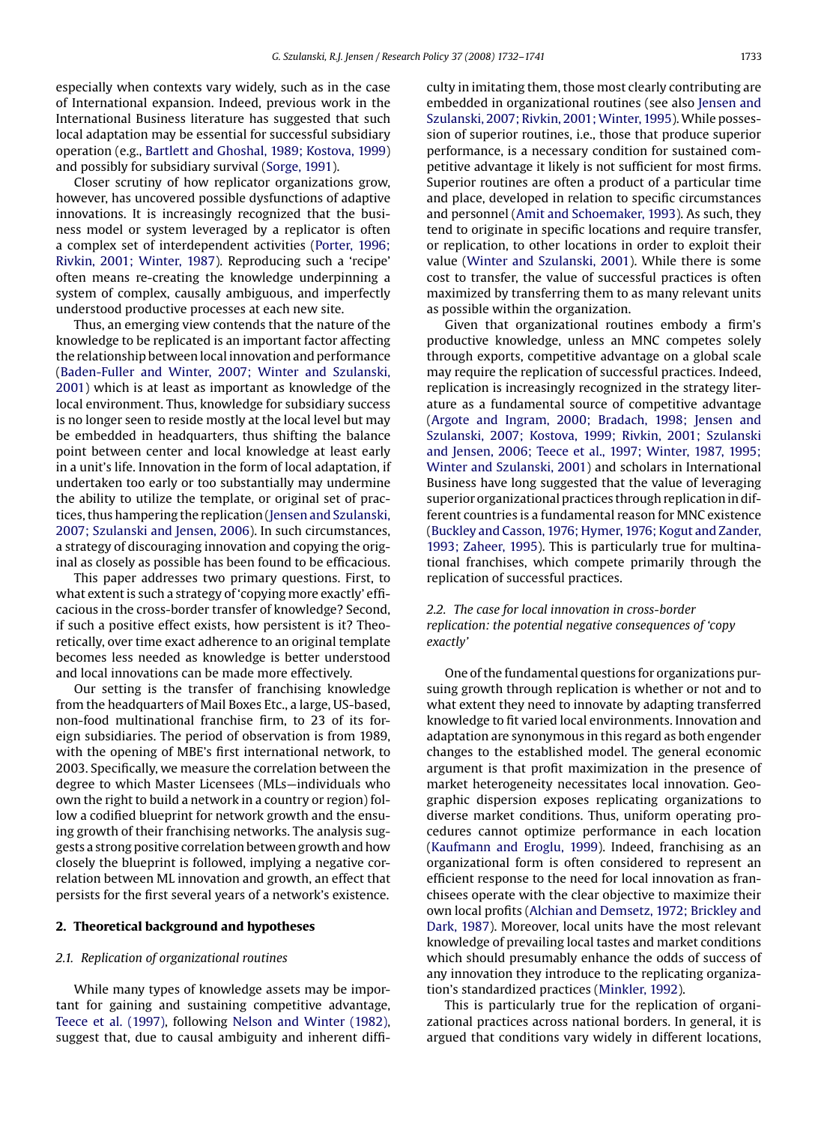especially when contexts vary widely, such as in the case of International expansion. Indeed, previous work in the International Business literature has suggested that such local adaptation may be essential for successful subsidiary operation (e.g., [Bartlett and Ghoshal, 1989; Kostova, 1999\)](#page--1-0) and possibly for subsidiary survival [\(Sorge, 1991\).](#page--1-0)

Closer scrutiny of how replicator organizations grow, however, has uncovered possible dysfunctions of adaptive innovations. It is increasingly recognized that the business model or system leveraged by a replicator is often a complex set of interdependent activities [\(Porter, 1996;](#page--1-0) [Rivkin, 2001; Winter, 1987\).](#page--1-0) Reproducing such a 'recipe' often means re-creating the knowledge underpinning a system of complex, causally ambiguous, and imperfectly understood productive processes at each new site.

Thus, an emerging view contends that the nature of the knowledge to be replicated is an important factor affecting the relationship between local innovation and performance [\(Baden-Fuller and Winter, 2007; Winter and Szulanski,](#page--1-0) [2001\)](#page--1-0) which is at least as important as knowledge of the local environment. Thus, knowledge for subsidiary success is no longer seen to reside mostly at the local level but may be embedded in headquarters, thus shifting the balance point between center and local knowledge at least early in a unit's life. Innovation in the form of local adaptation, if undertaken too early or too substantially may undermine the ability to utilize the template, or original set of practices, thus hampering the replication [\(Jensen and Szulanski,](#page--1-0) [2007; Szulanski and Jensen, 2006\).](#page--1-0) In such circumstances, a strategy of discouraging innovation and copying the original as closely as possible has been found to be efficacious.

This paper addresses two primary questions. First, to what extent is such a strategy of 'copying more exactly' efficacious in the cross-border transfer of knowledge? Second, if such a positive effect exists, how persistent is it? Theoretically, over time exact adherence to an original template becomes less needed as knowledge is better understood and local innovations can be made more effectively.

Our setting is the transfer of franchising knowledge from the headquarters of Mail Boxes Etc., a large, US-based, non-food multinational franchise firm, to 23 of its foreign subsidiaries. The period of observation is from 1989, with the opening of MBE's first international network, to 2003. Specifically, we measure the correlation between the degree to which Master Licensees (MLs—individuals who own the right to build a network in a country or region) follow a codified blueprint for network growth and the ensuing growth of their franchising networks. The analysis suggests a strong positive correlation between growth and how closely the blueprint is followed, implying a negative correlation between ML innovation and growth, an effect that persists for the first several years of a network's existence.

#### **2. Theoretical background and hypotheses**

#### *2.1. Replication of organizational routines*

While many types of knowledge assets may be important for gaining and sustaining competitive advantage, [Teece et al. \(1997\),](#page--1-0) following [Nelson and Winter \(1982\),](#page--1-0) suggest that, due to causal ambiguity and inherent difficulty in imitating them, those most clearly contributing are embedded in organizational routines (see also [Jensen and](#page--1-0) Szulanski, 2007; Rivkin, 2001; Winter, 1995). While possession of superior routines, i.e., those that produce superior performance, is a necessary condition for sustained competitive advantage it likely is not sufficient for most firms. Superior routines are often a product of a particular time and place, developed in relation to specific circumstances and personnel [\(Amit and Schoemaker, 1993\).](#page--1-0) As such, they tend to originate in specific locations and require transfer, or replication, to other locations in order to exploit their value ([Winter and Szulanski, 2001\).](#page--1-0) While there is some cost to transfer, the value of successful practices is often maximized by transferring them to as many relevant units as possible within the organization.

Given that organizational routines embody a firm's productive knowledge, unless an MNC competes solely through exports, competitive advantage on a global scale may require the replication of successful practices. Indeed, replication is increasingly recognized in the strategy literature as a fundamental source of competitive advantage [\(Argote and Ingram, 2000; Bradach, 1998; Jensen and](#page--1-0) [Szulanski, 2007; Kostova, 1999; Rivkin, 2001; Szulanski](#page--1-0) [and Jensen, 2006; Teece et al., 1997; Winter, 1987, 1995;](#page--1-0) [Winter and Szulanski, 2001\)](#page--1-0) and scholars in International Business have long suggested that the value of leveraging superior organizational practices through replication in different countries is a fundamental reason for MNC existence [\(Buckley and Casson, 1976; Hymer, 1976; Kogut and Zander,](#page--1-0) [1993; Zaheer, 1995\).](#page--1-0) This is particularly true for multinational franchises, which compete primarily through the replication of successful practices.

#### *2.2. The case for local innovation in cross-border replication: the potential negative consequences of 'copy exactly'*

One of the fundamental questions for organizations pursuing growth through replication is whether or not and to what extent they need to innovate by adapting transferred knowledge to fit varied local environments. Innovation and adaptation are synonymous in this regard as both engender changes to the established model. The general economic argument is that profit maximization in the presence of market heterogeneity necessitates local innovation. Geographic dispersion exposes replicating organizations to diverse market conditions. Thus, uniform operating procedures cannot optimize performance in each location [\(Kaufmann and Eroglu, 1999\).](#page--1-0) Indeed, franchising as an organizational form is often considered to represent an efficient response to the need for local innovation as franchisees operate with the clear objective to maximize their own local profits [\(Alchian and Demsetz, 1972; Brickley and](#page--1-0) [Dark, 1987\).](#page--1-0) Moreover, local units have the most relevant knowledge of prevailing local tastes and market conditions which should presumably enhance the odds of success of any innovation they introduce to the replicating organization's standardized practices ([Minkler, 1992\).](#page--1-0)

This is particularly true for the replication of organizational practices across national borders. In general, it is argued that conditions vary widely in different locations,